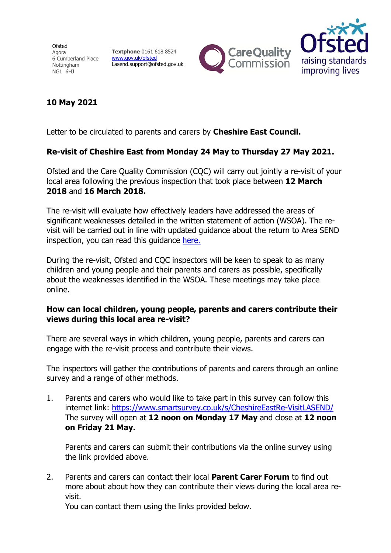Ofsted Agora 6 Cumberland Place Nottingham NG1 6HJ

Textphone 0161 618 8524 www.gov.uk/ofsted Lasend.support@ofsted.gov.uk





## 10 May 2021

Letter to be circulated to parents and carers by **Cheshire East Council.** 

## Re-visit of Cheshire East from Monday 24 May to Thursday 27 May 2021.

Ofsted and the Care Quality Commission (CQC) will carry out jointly a re-visit of your local area following the previous inspection that took place between 12 March 2018 and 16 March 2018.

The re-visit will evaluate how effectively leaders have addressed the areas of significant weaknesses detailed in the written statement of action (WSOA). The revisit will be carried out in line with updated guidance about the return to Area SEND inspection, you can read this guidance here.

During the re-visit, Ofsted and CQC inspectors will be keen to speak to as many children and young people and their parents and carers as possible, specifically about the weaknesses identified in the WSOA. These meetings may take place online.

## How can local children, young people, parents and carers contribute their views during this local area re-visit?

There are several ways in which children, young people, parents and carers can engage with the re-visit process and contribute their views.

The inspectors will gather the contributions of parents and carers through an online survey and a range of other methods.

1. Parents and carers who would like to take part in this survey can follow this internet link: https://www.smartsurvey.co.uk/s/CheshireEastRe-VisitLASEND/ The survey will open at 12 noon on Monday 17 May and close at 12 noon on Friday 21 May.

Parents and carers can submit their contributions via the online survey using the link provided above.

2. Parents and carers can contact their local **Parent Carer Forum** to find out more about about how they can contribute their views during the local area revisit.

You can contact them using the links provided below.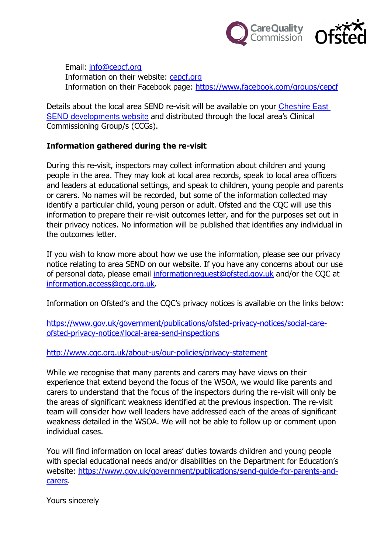

Email: info@cepcf.org Information on their website: cepcf.org Information on their Facebook page: https://www.facebook.com/groups/cepcf

Details about the local area SEND re-visit will be available on your Cheshire East SEND developments website and distributed through the local area's Clinical Commissioning Group/s (CCGs).

## Information gathered during the re-visit

During this re-visit, inspectors may collect information about children and young people in the area. They may look at local area records, speak to local area officers and leaders at educational settings, and speak to children, young people and parents or carers. No names will be recorded, but some of the information collected may identify a particular child, young person or adult. Ofsted and the CQC will use this information to prepare their re-visit outcomes letter, and for the purposes set out in their privacy notices. No information will be published that identifies any individual in the outcomes letter.

If you wish to know more about how we use the information, please see our privacy notice relating to area SEND on our website. If you have any concerns about our use of personal data, please email informationrequest@ofsted.gov.uk and/or the CQC at information.access@cqc.org.uk.

Information on Ofsted's and the CQC's privacy notices is available on the links below:

https://www.gov.uk/government/publications/ofsted-privacy-notices/social-careofsted-privacy-notice#local-area-send-inspections

http://www.cqc.org.uk/about-us/our-policies/privacy-statement

While we recognise that many parents and carers may have views on their experience that extend beyond the focus of the WSOA, we would like parents and carers to understand that the focus of the inspectors during the re-visit will only be the areas of significant weakness identified at the previous inspection. The re-visit team will consider how well leaders have addressed each of the areas of significant weakness detailed in the WSOA. We will not be able to follow up or comment upon individual cases.

You will find information on local areas' duties towards children and young people with special educational needs and/or disabilities on the Department for Education's website: https://www.gov.uk/government/publications/send-guide-for-parents-andcarers.

Yours sincerely